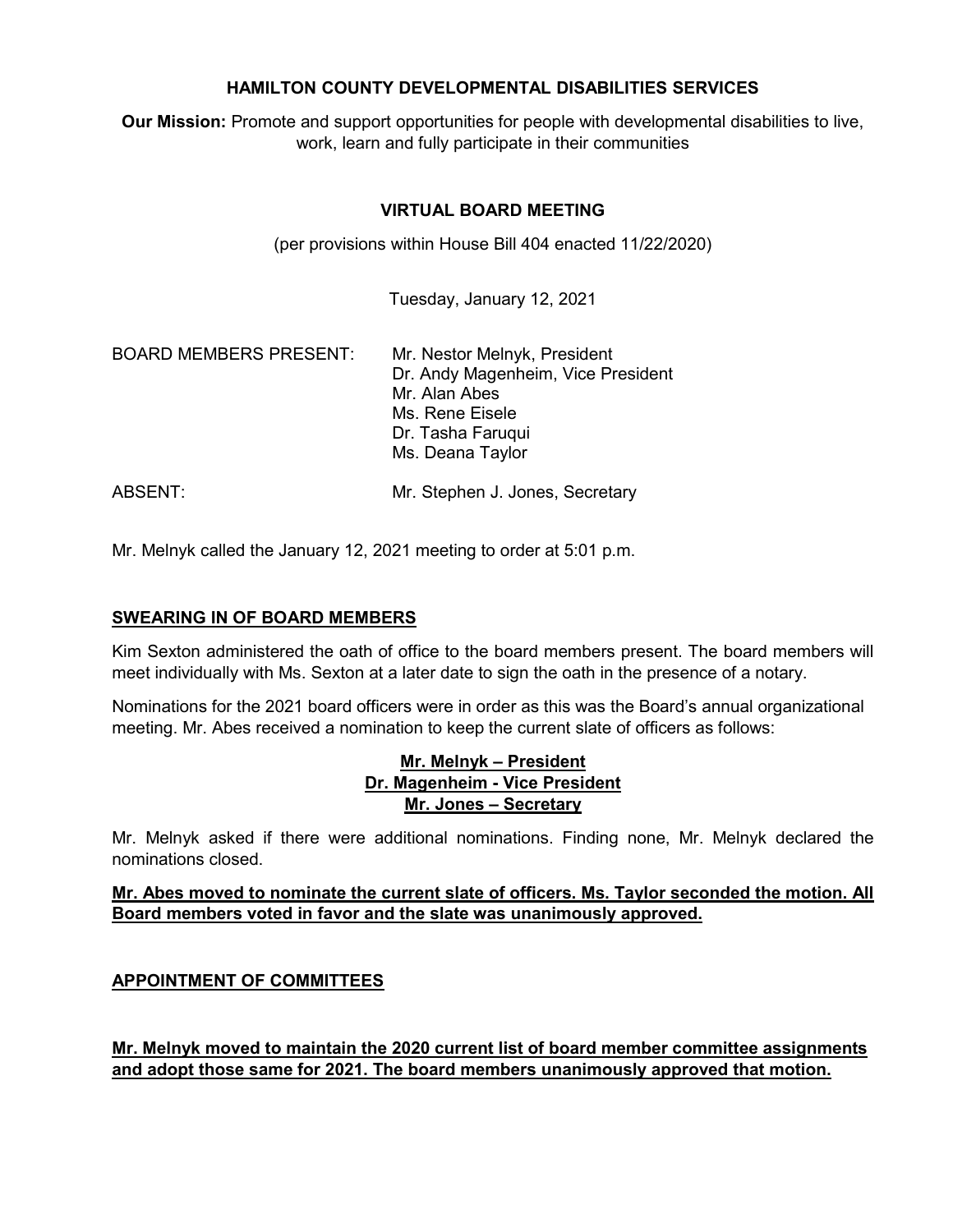## **HAMILTON COUNTY DEVELOPMENTAL DISABILITIES SERVICES**

**Our Mission:** Promote and support opportunities for people with developmental disabilities to live, work, learn and fully participate in their communities

# **VIRTUAL BOARD MEETING**

(per provisions within House Bill 404 enacted 11/22/2020)

Tuesday, January 12, 2021

| <b>BOARD MEMBERS PRESENT:</b> | Mr. Nestor Melnyk, President<br>Dr. Andy Magenheim, Vice President<br>Mr. Alan Abes<br>Ms. Rene Eisele<br>Dr. Tasha Faruqui<br>Ms. Deana Taylor |
|-------------------------------|-------------------------------------------------------------------------------------------------------------------------------------------------|
| ABSENT:                       | Mr. Stephen J. Jones, Secretary                                                                                                                 |

Mr. Melnyk called the January 12, 2021 meeting to order at 5:01 p.m.

## **SWEARING IN OF BOARD MEMBERS**

Kim Sexton administered the oath of office to the board members present. The board members will meet individually with Ms. Sexton at a later date to sign the oath in the presence of a notary.

Nominations for the 2021 board officers were in order as this was the Board's annual organizational meeting. Mr. Abes received a nomination to keep the current slate of officers as follows:

## **Mr. Melnyk – President Dr. Magenheim - Vice President Mr. Jones – Secretary**

Mr. Melnyk asked if there were additional nominations. Finding none, Mr. Melnyk declared the nominations closed.

## **Mr. Abes moved to nominate the current slate of officers. Ms. Taylor seconded the motion. All Board members voted in favor and the slate was unanimously approved.**

## **APPOINTMENT OF COMMITTEES**

**Mr. Melnyk moved to maintain the 2020 current list of board member committee assignments and adopt those same for 2021. The board members unanimously approved that motion.**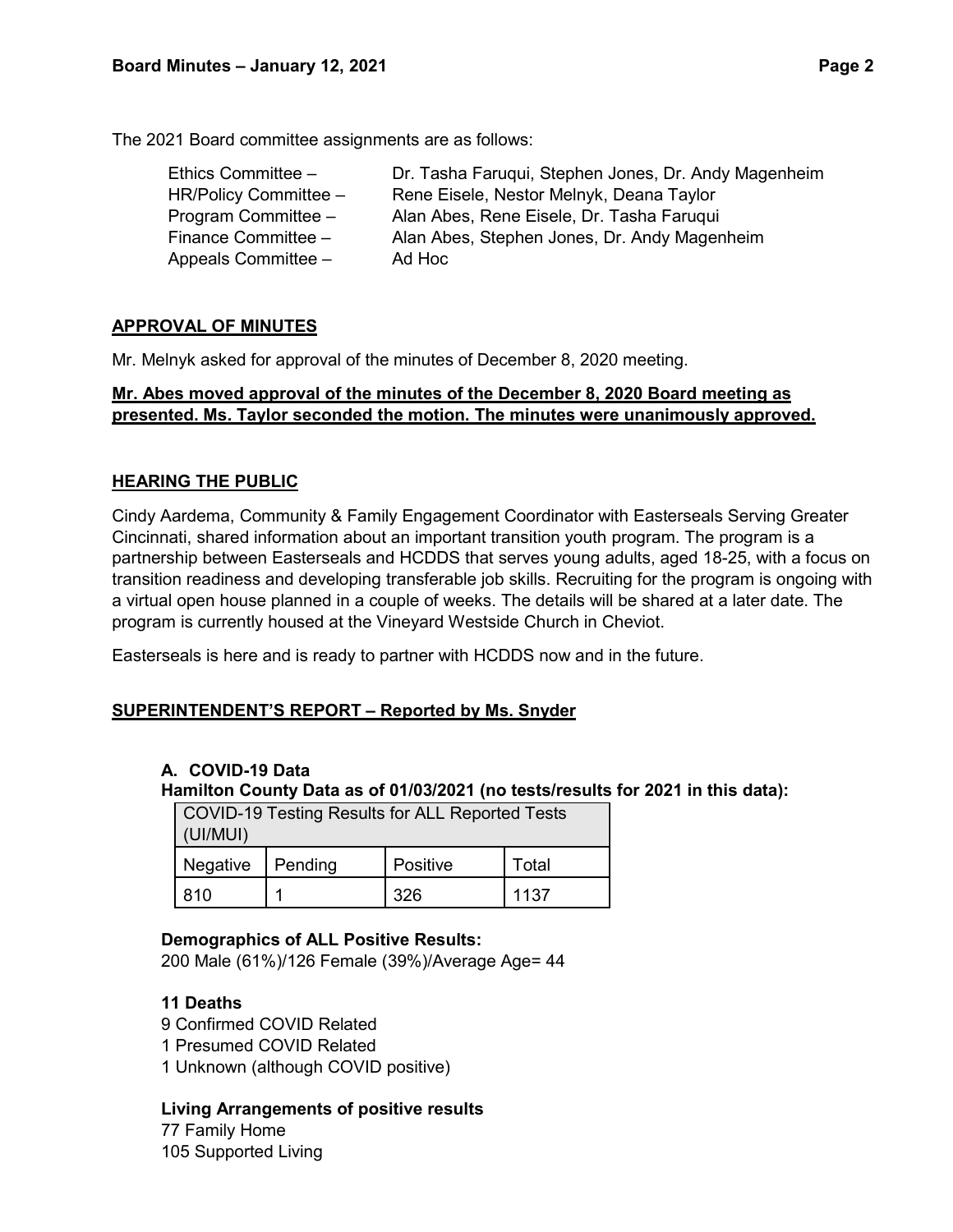The 2021 Board committee assignments are as follows:

| Ethics Committee -    | Dr. Tasha Faruqui, Stephen Jones, Dr. Andy Magenheim |
|-----------------------|------------------------------------------------------|
| HR/Policy Committee - | Rene Eisele, Nestor Melnyk, Deana Taylor             |
| Program Committee -   | Alan Abes, Rene Eisele, Dr. Tasha Faruqui            |
| Finance Committee -   | Alan Abes, Stephen Jones, Dr. Andy Magenheim         |
| Appeals Committee -   | Ad Hoc                                               |

# **APPROVAL OF MINUTES**

Mr. Melnyk asked for approval of the minutes of December 8, 2020 meeting.

# **Mr. Abes moved approval of the minutes of the December 8, 2020 Board meeting as presented. Ms. Taylor seconded the motion. The minutes were unanimously approved.**

# **HEARING THE PUBLIC**

Cindy Aardema, Community & Family Engagement Coordinator with Easterseals Serving Greater Cincinnati, shared information about an important transition youth program. The program is a partnership between Easterseals and HCDDS that serves young adults, aged 18-25, with a focus on transition readiness and developing transferable job skills. Recruiting for the program is ongoing with a virtual open house planned in a couple of weeks. The details will be shared at a later date. The program is currently housed at the Vineyard Westside Church in Cheviot.

Easterseals is here and is ready to partner with HCDDS now and in the future.

## **SUPERINTENDENT'S REPORT – Reported by Ms. Snyder**

## **A. COVID-19 Data**

**Hamilton County Data as of 01/03/2021 (no tests/results for 2021 in this data):**

COVID-19 Testing Results for ALL Reported Tests

| (UI/MUI)        |         |          |       |  |
|-----------------|---------|----------|-------|--|
| <b>Negative</b> | Pending | Positive | Total |  |
| 810             |         | 326      | 1137  |  |

## **Demographics of ALL Positive Results:**

200 Male (61%)/126 Female (39%)/Average Age= 44

## **11 Deaths**

- 9 Confirmed COVID Related
- 1 Presumed COVID Related
- 1 Unknown (although COVID positive)

## **Living Arrangements of positive results**

77 Family Home 105 Supported Living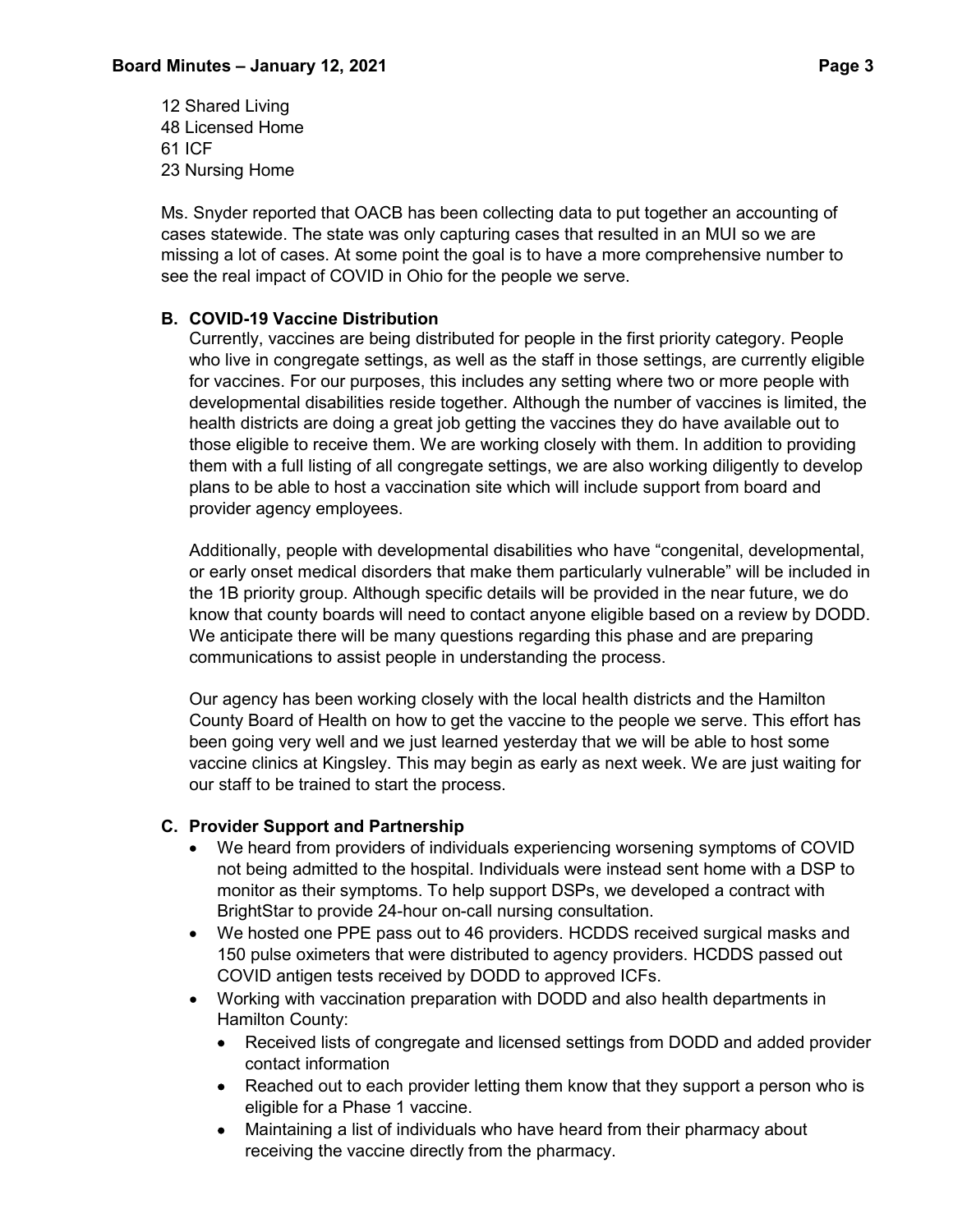12 Shared Living 48 Licensed Home 61 ICF 23 Nursing Home

Ms. Snyder reported that OACB has been collecting data to put together an accounting of cases statewide. The state was only capturing cases that resulted in an MUI so we are missing a lot of cases. At some point the goal is to have a more comprehensive number to see the real impact of COVID in Ohio for the people we serve.

# **B. COVID-19 Vaccine Distribution**

Currently, vaccines are being distributed for people in the first priority category. People who live in congregate settings, as well as the staff in those settings, are currently eligible for vaccines. For our purposes, this includes any setting where two or more people with developmental disabilities reside together. Although the number of vaccines is limited, the health districts are doing a great job getting the vaccines they do have available out to those eligible to receive them. We are working closely with them. In addition to providing them with a full listing of all congregate settings, we are also working diligently to develop plans to be able to host a vaccination site which will include support from board and provider agency employees.

Additionally, people with developmental disabilities who have "congenital, developmental, or early onset medical disorders that make them particularly vulnerable" will be included in the 1B priority group. Although specific details will be provided in the near future, we do know that county boards will need to contact anyone eligible based on a review by DODD. We anticipate there will be many questions regarding this phase and are preparing communications to assist people in understanding the process.

Our agency has been working closely with the local health districts and the Hamilton County Board of Health on how to get the vaccine to the people we serve. This effort has been going very well and we just learned yesterday that we will be able to host some vaccine clinics at Kingsley. This may begin as early as next week. We are just waiting for our staff to be trained to start the process.

# **C. Provider Support and Partnership**

- We heard from providers of individuals experiencing worsening symptoms of COVID not being admitted to the hospital. Individuals were instead sent home with a DSP to monitor as their symptoms. To help support DSPs, we developed a contract with BrightStar to provide 24-hour on-call nursing consultation.
- We hosted one PPE pass out to 46 providers. HCDDS received surgical masks and 150 pulse oximeters that were distributed to agency providers. HCDDS passed out COVID antigen tests received by DODD to approved ICFs.
- Working with vaccination preparation with DODD and also health departments in Hamilton County:
	- Received lists of congregate and licensed settings from DODD and added provider contact information
	- Reached out to each provider letting them know that they support a person who is eligible for a Phase 1 vaccine.
	- Maintaining a list of individuals who have heard from their pharmacy about receiving the vaccine directly from the pharmacy.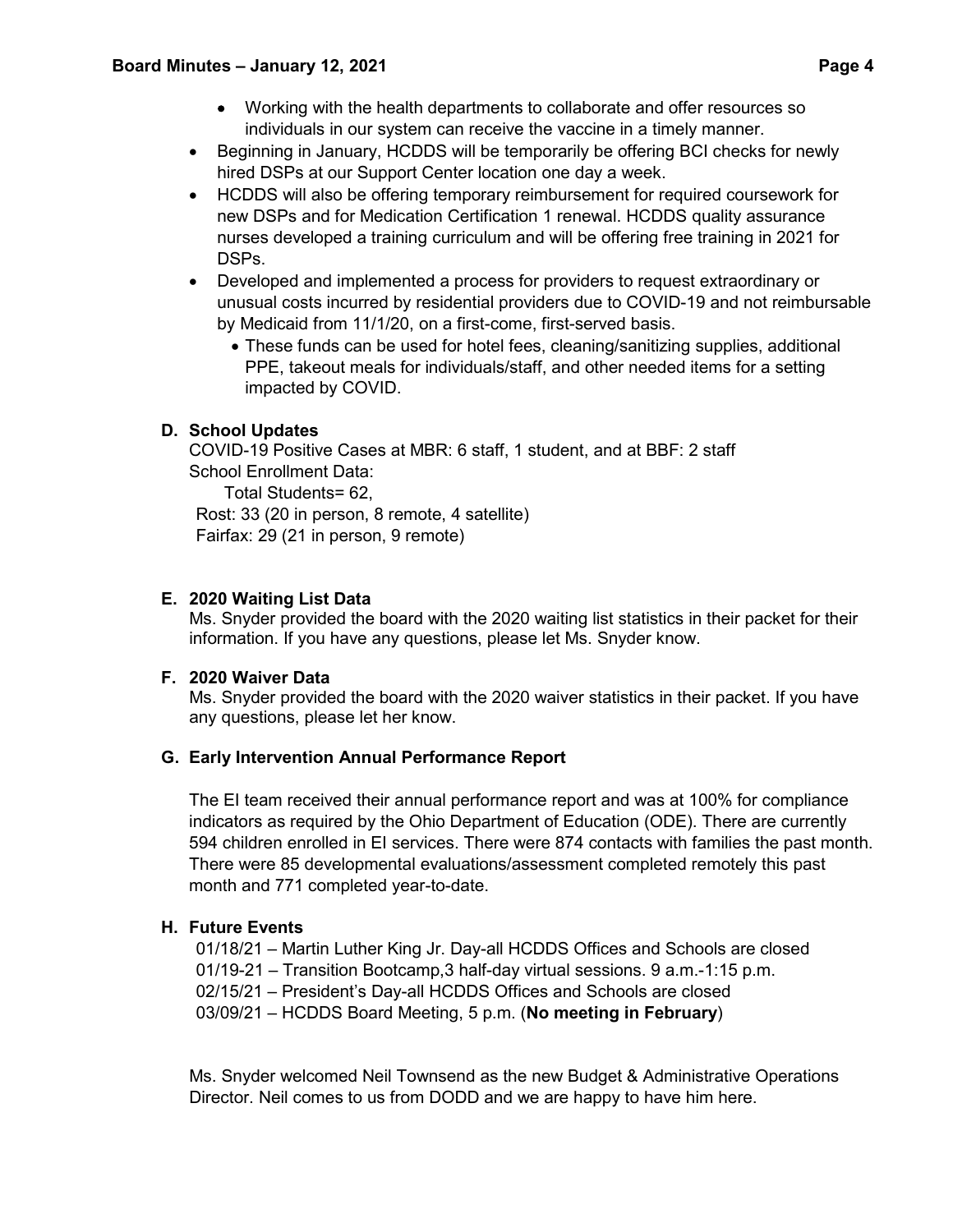- Working with the health departments to collaborate and offer resources so individuals in our system can receive the vaccine in a timely manner.
- Beginning in January, HCDDS will be temporarily be offering BCI checks for newly hired DSPs at our Support Center location one day a week.
- HCDDS will also be offering temporary reimbursement for required coursework for new DSPs and for Medication Certification 1 renewal. HCDDS quality assurance nurses developed a training curriculum and will be offering free training in 2021 for DSPs.
- Developed and implemented a process for providers to request extraordinary or unusual costs incurred by residential providers due to COVID-19 and not reimbursable by Medicaid from 11/1/20, on a first-come, first-served basis.
	- These funds can be used for hotel fees, cleaning/sanitizing supplies, additional PPE, takeout meals for individuals/staff, and other needed items for a setting impacted by COVID.

# **D. School Updates**

COVID-19 Positive Cases at MBR: 6 staff, 1 student, and at BBF: 2 staff School Enrollment Data:

Total Students= 62,

Rost: 33 (20 in person, 8 remote, 4 satellite) Fairfax: 29 (21 in person, 9 remote)

# **E. 2020 Waiting List Data**

Ms. Snyder provided the board with the 2020 waiting list statistics in their packet for their information. If you have any questions, please let Ms. Snyder know.

## **F. 2020 Waiver Data**

Ms. Snyder provided the board with the 2020 waiver statistics in their packet. If you have any questions, please let her know.

# **G. Early Intervention Annual Performance Report**

The EI team received their annual performance report and was at 100% for compliance indicators as required by the Ohio Department of Education (ODE). There are currently 594 children enrolled in EI services. There were 874 contacts with families the past month. There were 85 developmental evaluations/assessment completed remotely this past month and 771 completed year-to-date.

# **H. Future Events**

01/18/21 – Martin Luther King Jr. Day-all HCDDS Offices and Schools are closed

01/19-21 – Transition Bootcamp,3 half-day virtual sessions. 9 a.m.-1:15 p.m.

02/15/21 – President's Day-all HCDDS Offices and Schools are closed

03/09/21 – HCDDS Board Meeting, 5 p.m. (**No meeting in February**)

Ms. Snyder welcomed Neil Townsend as the new Budget & Administrative Operations Director. Neil comes to us from DODD and we are happy to have him here.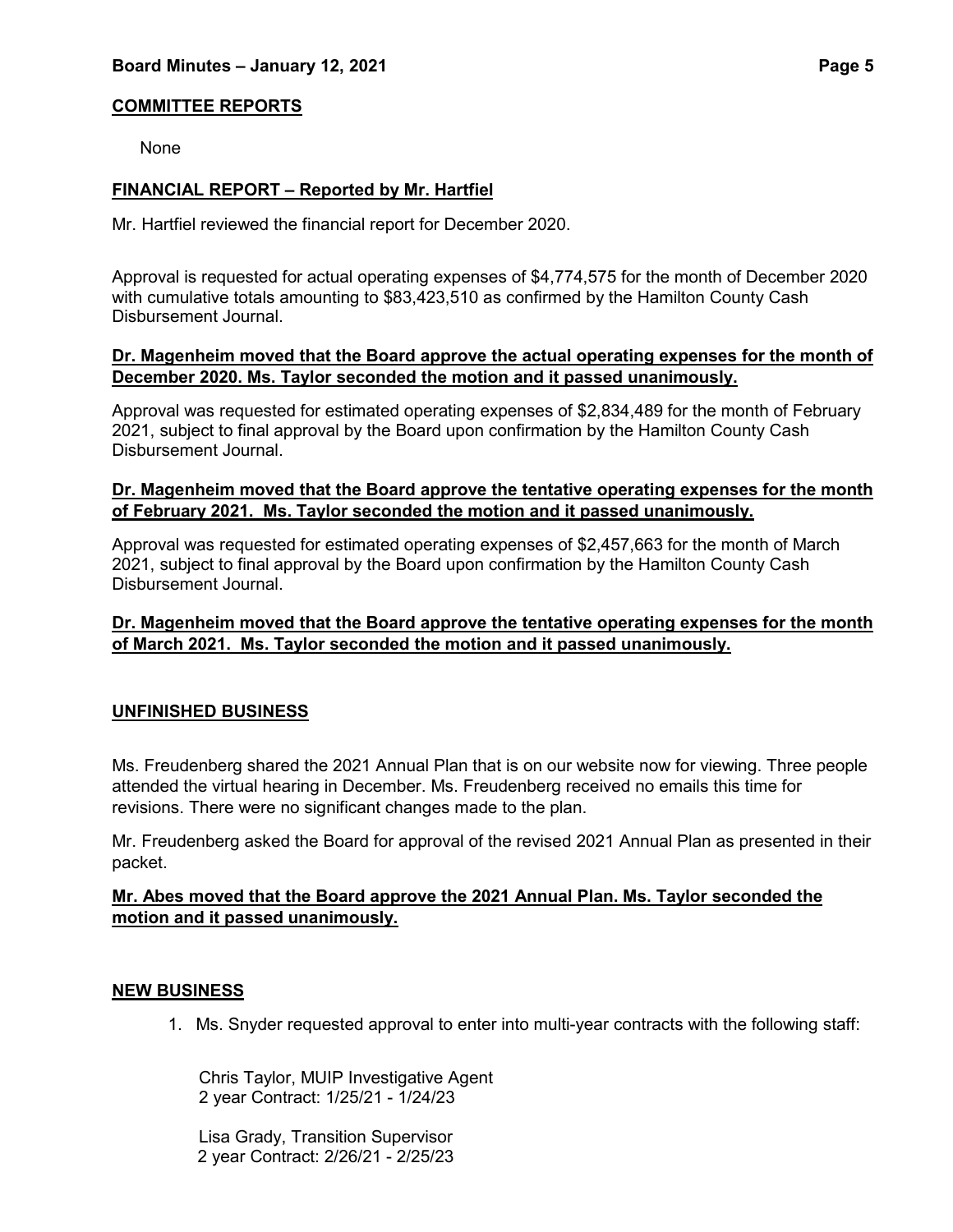# **COMMITTEE REPORTS**

None

# **FINANCIAL REPORT – Reported by Mr. Hartfiel**

Mr. Hartfiel reviewed the financial report for December 2020.

Approval is requested for actual operating expenses of \$4,774,575 for the month of December 2020 with cumulative totals amounting to \$83,423,510 as confirmed by the Hamilton County Cash Disbursement Journal.

#### **Dr. Magenheim moved that the Board approve the actual operating expenses for the month of December 2020. Ms. Taylor seconded the motion and it passed unanimously.**

Approval was requested for estimated operating expenses of \$2,834,489 for the month of February 2021, subject to final approval by the Board upon confirmation by the Hamilton County Cash Disbursement Journal.

## **Dr. Magenheim moved that the Board approve the tentative operating expenses for the month of February 2021. Ms. Taylor seconded the motion and it passed unanimously.**

Approval was requested for estimated operating expenses of \$2,457,663 for the month of March 2021, subject to final approval by the Board upon confirmation by the Hamilton County Cash Disbursement Journal.

# **Dr. Magenheim moved that the Board approve the tentative operating expenses for the month of March 2021. Ms. Taylor seconded the motion and it passed unanimously.**

## **UNFINISHED BUSINESS**

Ms. Freudenberg shared the 2021 Annual Plan that is on our website now for viewing. Three people attended the virtual hearing in December. Ms. Freudenberg received no emails this time for revisions. There were no significant changes made to the plan.

Mr. Freudenberg asked the Board for approval of the revised 2021 Annual Plan as presented in their packet.

# **Mr. Abes moved that the Board approve the 2021 Annual Plan. Ms. Taylor seconded the motion and it passed unanimously.**

## **NEW BUSINESS**

1. Ms. Snyder requested approval to enter into multi-year contracts with the following staff:

Chris Taylor, MUIP Investigative Agent 2 year Contract: 1/25/21 - 1/24/23

Lisa Grady, Transition Supervisor 2 year Contract: 2/26/21 - 2/25/23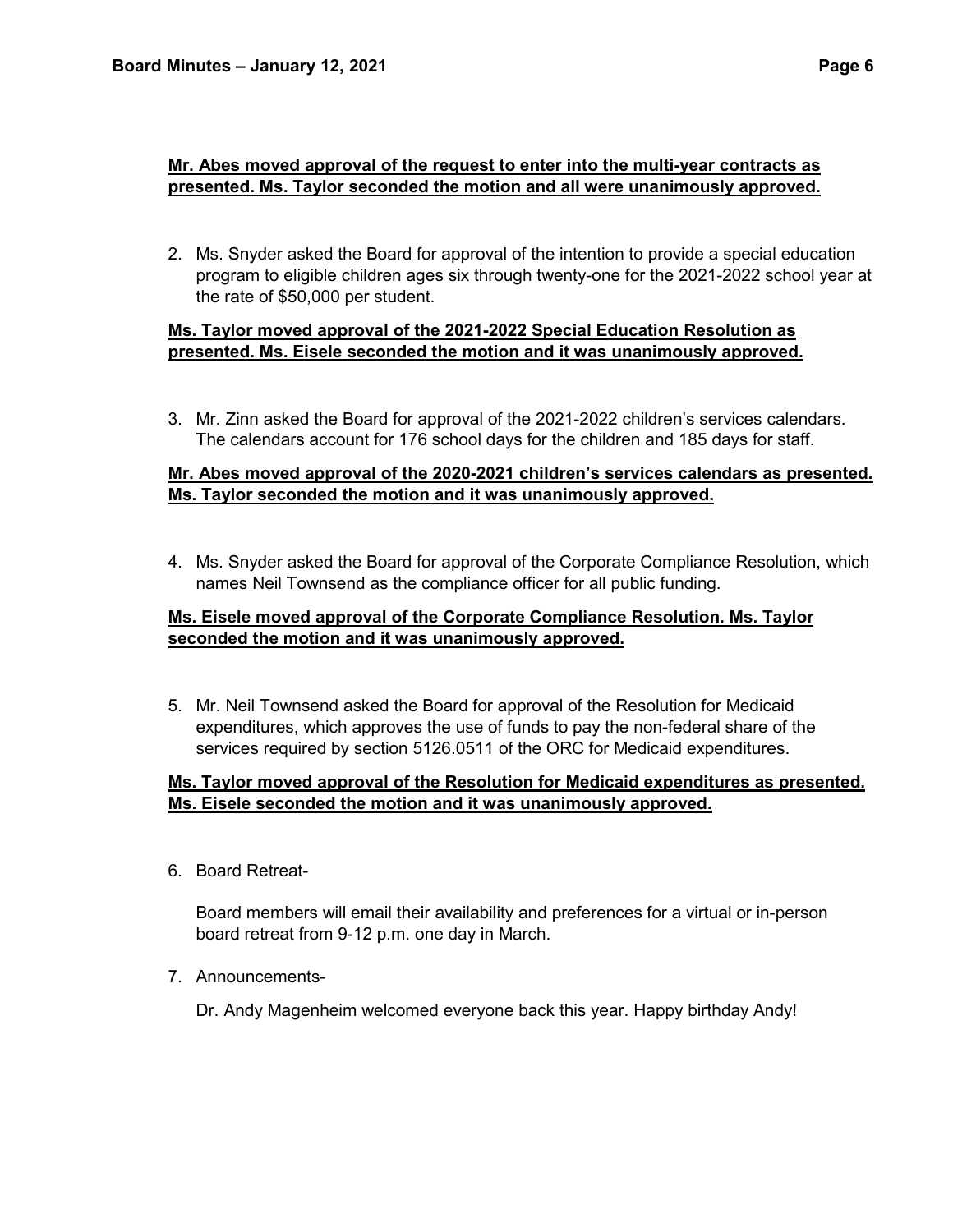# **Mr. Abes moved approval of the request to enter into the multi-year contracts as presented. Ms. Taylor seconded the motion and all were unanimously approved.**

2. Ms. Snyder asked the Board for approval of the intention to provide a special education program to eligible children ages six through twenty-one for the 2021-2022 school year at the rate of \$50,000 per student.

## **Ms. Taylor moved approval of the 2021-2022 Special Education Resolution as presented. Ms. Eisele seconded the motion and it was unanimously approved.**

3. Mr. Zinn asked the Board for approval of the 2021-2022 children's services calendars. The calendars account for 176 school days for the children and 185 days for staff.

# **Mr. Abes moved approval of the 2020-2021 children's services calendars as presented. Ms. Taylor seconded the motion and it was unanimously approved.**

4. Ms. Snyder asked the Board for approval of the Corporate Compliance Resolution, which names Neil Townsend as the compliance officer for all public funding.

# **Ms. Eisele moved approval of the Corporate Compliance Resolution. Ms. Taylor seconded the motion and it was unanimously approved.**

5. Mr. Neil Townsend asked the Board for approval of the Resolution for Medicaid expenditures, which approves the use of funds to pay the non-federal share of the services required by section 5126.0511 of the ORC for Medicaid expenditures.

# **Ms. Taylor moved approval of the Resolution for Medicaid expenditures as presented. Ms. Eisele seconded the motion and it was unanimously approved.**

6. Board Retreat-

Board members will email their availability and preferences for a virtual or in-person board retreat from 9-12 p.m. one day in March.

7. Announcements-

Dr. Andy Magenheim welcomed everyone back this year. Happy birthday Andy!